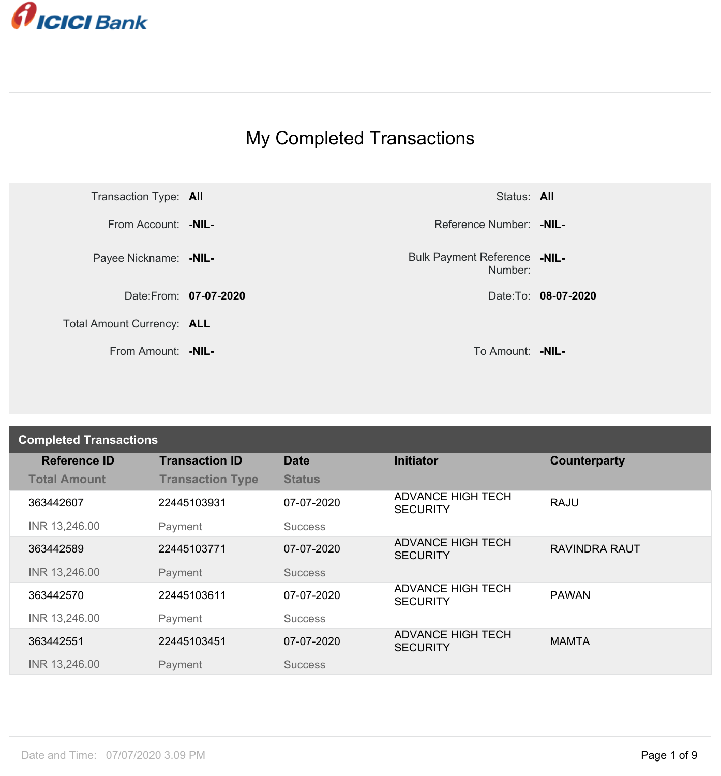

## My Completed Transactions



Number: **-NIL-**

| <b>Completed Transactions</b> |                         |                |                                             |                      |
|-------------------------------|-------------------------|----------------|---------------------------------------------|----------------------|
| <b>Reference ID</b>           | <b>Transaction ID</b>   | <b>Date</b>    | <b>Initiator</b>                            | Counterparty         |
| <b>Total Amount</b>           | <b>Transaction Type</b> | <b>Status</b>  |                                             |                      |
| 363442607                     | 22445103931             | 07-07-2020     | <b>ADVANCE HIGH TECH</b><br><b>SECURITY</b> | <b>RAJU</b>          |
| INR 13,246.00                 | Payment                 | <b>Success</b> |                                             |                      |
| 363442589                     | 22445103771             | 07-07-2020     | <b>ADVANCE HIGH TECH</b><br><b>SECURITY</b> | <b>RAVINDRA RAUT</b> |
| INR 13,246.00                 | Payment                 | <b>Success</b> |                                             |                      |
| 363442570                     | 22445103611             | 07-07-2020     | <b>ADVANCE HIGH TECH</b><br><b>SECURITY</b> | <b>PAWAN</b>         |
| INR 13,246.00                 | Payment                 | <b>Success</b> |                                             |                      |
| 363442551                     | 22445103451             | 07-07-2020     | <b>ADVANCE HIGH TECH</b><br><b>SECURITY</b> | <b>MAMTA</b>         |
| INR 13,246.00                 | Payment                 | <b>Success</b> |                                             |                      |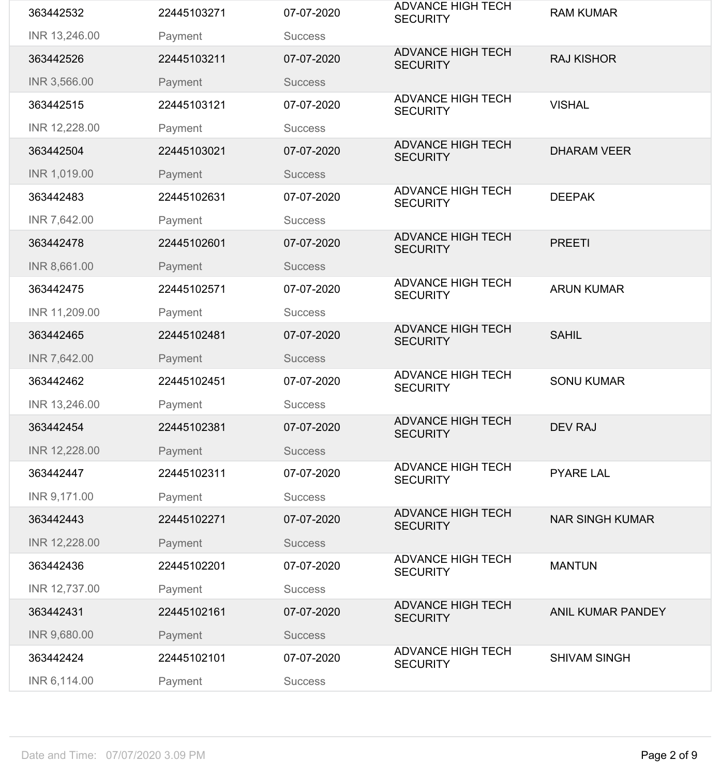| 363442532     | 22445103271 | 07-07-2020     | <b>ADVANCE HIGH TECH</b><br><b>SECURITY</b> | <b>RAM KUMAR</b>         |
|---------------|-------------|----------------|---------------------------------------------|--------------------------|
| INR 13,246.00 | Payment     | <b>Success</b> |                                             |                          |
| 363442526     | 22445103211 | 07-07-2020     | <b>ADVANCE HIGH TECH</b><br><b>SECURITY</b> | <b>RAJ KISHOR</b>        |
| INR 3,566.00  | Payment     | <b>Success</b> |                                             |                          |
| 363442515     | 22445103121 | 07-07-2020     | <b>ADVANCE HIGH TECH</b><br><b>SECURITY</b> | <b>VISHAL</b>            |
| INR 12,228.00 | Payment     | <b>Success</b> |                                             |                          |
| 363442504     | 22445103021 | 07-07-2020     | <b>ADVANCE HIGH TECH</b><br><b>SECURITY</b> | <b>DHARAM VEER</b>       |
| INR 1,019.00  | Payment     | <b>Success</b> |                                             |                          |
| 363442483     | 22445102631 | 07-07-2020     | <b>ADVANCE HIGH TECH</b><br><b>SECURITY</b> | <b>DEEPAK</b>            |
| INR 7,642.00  | Payment     | <b>Success</b> |                                             |                          |
| 363442478     | 22445102601 | 07-07-2020     | <b>ADVANCE HIGH TECH</b><br><b>SECURITY</b> | <b>PREETI</b>            |
| INR 8,661.00  | Payment     | <b>Success</b> |                                             |                          |
| 363442475     | 22445102571 | 07-07-2020     | <b>ADVANCE HIGH TECH</b><br><b>SECURITY</b> | <b>ARUN KUMAR</b>        |
| INR 11,209.00 | Payment     | <b>Success</b> |                                             |                          |
| 363442465     | 22445102481 | 07-07-2020     | <b>ADVANCE HIGH TECH</b><br><b>SECURITY</b> | <b>SAHIL</b>             |
| INR 7,642.00  | Payment     | <b>Success</b> |                                             |                          |
| 363442462     | 22445102451 | 07-07-2020     | <b>ADVANCE HIGH TECH</b><br><b>SECURITY</b> | <b>SONU KUMAR</b>        |
| INR 13,246.00 | Payment     | <b>Success</b> |                                             |                          |
| 363442454     | 22445102381 | 07-07-2020     | <b>ADVANCE HIGH TECH</b><br><b>SECURITY</b> | <b>DEV RAJ</b>           |
| INR 12,228.00 | Payment     | <b>Success</b> |                                             |                          |
| 363442447     | 22445102311 | 07-07-2020     | <b>ADVANCE HIGH TECH</b><br><b>SECURITY</b> | <b>PYARE LAL</b>         |
| INR 9,171.00  | Payment     | <b>Success</b> |                                             |                          |
| 363442443     | 22445102271 | 07-07-2020     | <b>ADVANCE HIGH TECH</b><br><b>SECURITY</b> | <b>NAR SINGH KUMAR</b>   |
| INR 12,228.00 | Payment     | <b>Success</b> |                                             |                          |
| 363442436     | 22445102201 | 07-07-2020     | <b>ADVANCE HIGH TECH</b><br><b>SECURITY</b> | <b>MANTUN</b>            |
| INR 12,737.00 | Payment     | <b>Success</b> |                                             |                          |
| 363442431     | 22445102161 | 07-07-2020     | <b>ADVANCE HIGH TECH</b><br><b>SECURITY</b> | <b>ANIL KUMAR PANDEY</b> |
| INR 9,680.00  | Payment     | <b>Success</b> |                                             |                          |
| 363442424     | 22445102101 | 07-07-2020     | <b>ADVANCE HIGH TECH</b><br><b>SECURITY</b> | <b>SHIVAM SINGH</b>      |
| INR 6,114.00  | Payment     | <b>Success</b> |                                             |                          |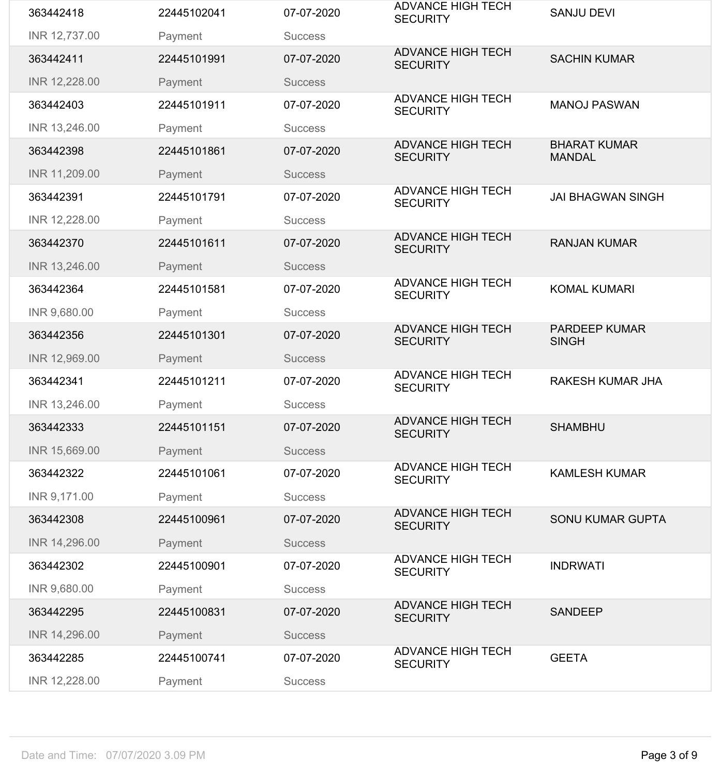| 363442418     | 22445102041 | 07-07-2020     | <b>ADVANCE HIGH TECH</b><br><b>SECURITY</b> | <b>SANJU DEVI</b>                    |
|---------------|-------------|----------------|---------------------------------------------|--------------------------------------|
| INR 12,737.00 | Payment     | <b>Success</b> |                                             |                                      |
| 363442411     | 22445101991 | 07-07-2020     | <b>ADVANCE HIGH TECH</b><br><b>SECURITY</b> | <b>SACHIN KUMAR</b>                  |
| INR 12,228.00 | Payment     | <b>Success</b> |                                             |                                      |
| 363442403     | 22445101911 | 07-07-2020     | <b>ADVANCE HIGH TECH</b><br><b>SECURITY</b> | <b>MANOJ PASWAN</b>                  |
| INR 13,246.00 | Payment     | <b>Success</b> |                                             |                                      |
| 363442398     | 22445101861 | 07-07-2020     | <b>ADVANCE HIGH TECH</b><br><b>SECURITY</b> | <b>BHARAT KUMAR</b><br><b>MANDAL</b> |
| INR 11,209.00 | Payment     | <b>Success</b> |                                             |                                      |
| 363442391     | 22445101791 | 07-07-2020     | <b>ADVANCE HIGH TECH</b><br><b>SECURITY</b> | <b>JAI BHAGWAN SINGH</b>             |
| INR 12,228.00 | Payment     | <b>Success</b> |                                             |                                      |
| 363442370     | 22445101611 | 07-07-2020     | <b>ADVANCE HIGH TECH</b><br><b>SECURITY</b> | <b>RANJAN KUMAR</b>                  |
| INR 13,246.00 | Payment     | <b>Success</b> |                                             |                                      |
| 363442364     | 22445101581 | 07-07-2020     | <b>ADVANCE HIGH TECH</b><br><b>SECURITY</b> | <b>KOMAL KUMARI</b>                  |
| INR 9,680.00  | Payment     | <b>Success</b> |                                             |                                      |
| 363442356     | 22445101301 | 07-07-2020     | <b>ADVANCE HIGH TECH</b><br><b>SECURITY</b> | <b>PARDEEP KUMAR</b><br><b>SINGH</b> |
| INR 12,969.00 | Payment     | <b>Success</b> |                                             |                                      |
| 363442341     | 22445101211 | 07-07-2020     | <b>ADVANCE HIGH TECH</b><br><b>SECURITY</b> | <b>RAKESH KUMAR JHA</b>              |
| INR 13,246.00 | Payment     | <b>Success</b> |                                             |                                      |
| 363442333     | 22445101151 | 07-07-2020     | <b>ADVANCE HIGH TECH</b><br><b>SECURITY</b> | <b>SHAMBHU</b>                       |
| INR 15,669.00 | Payment     | <b>Success</b> |                                             |                                      |
| 363442322     | 22445101061 | 07-07-2020     | <b>ADVANCE HIGH TECH</b><br><b>SECURITY</b> | <b>KAMLESH KUMAR</b>                 |
| INR 9,171.00  | Payment     | <b>Success</b> |                                             |                                      |
| 363442308     | 22445100961 | 07-07-2020     | <b>ADVANCE HIGH TECH</b><br><b>SECURITY</b> | <b>SONU KUMAR GUPTA</b>              |
| INR 14,296.00 | Payment     | <b>Success</b> |                                             |                                      |
| 363442302     | 22445100901 | 07-07-2020     | <b>ADVANCE HIGH TECH</b><br><b>SECURITY</b> | <b>INDRWATI</b>                      |
| INR 9,680.00  | Payment     | <b>Success</b> |                                             |                                      |
|               |             |                | <b>ADVANCE HIGH TECH</b>                    |                                      |
| 363442295     | 22445100831 | 07-07-2020     | <b>SECURITY</b>                             | <b>SANDEEP</b>                       |
| INR 14,296.00 | Payment     | <b>Success</b> |                                             |                                      |
| 363442285     | 22445100741 | 07-07-2020     | <b>ADVANCE HIGH TECH</b><br><b>SECURITY</b> | <b>GEETA</b>                         |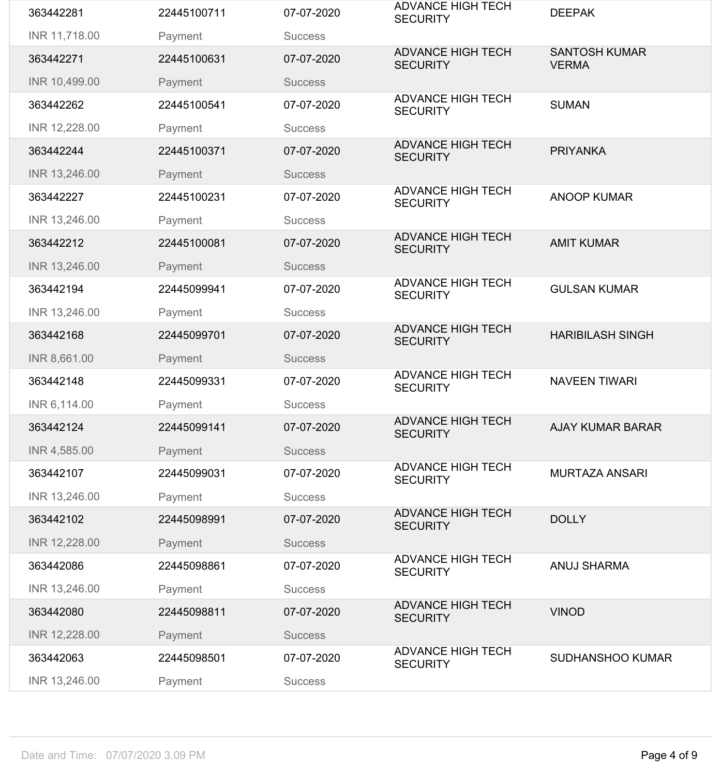| 363442281     | 22445100711 | 07-07-2020     | <b>ADVANCE HIGH TECH</b><br><b>SECURITY</b> | <b>DEEPAK</b>                        |
|---------------|-------------|----------------|---------------------------------------------|--------------------------------------|
| INR 11,718.00 | Payment     | <b>Success</b> |                                             |                                      |
| 363442271     | 22445100631 | 07-07-2020     | <b>ADVANCE HIGH TECH</b><br><b>SECURITY</b> | <b>SANTOSH KUMAR</b><br><b>VERMA</b> |
| INR 10,499.00 | Payment     | <b>Success</b> |                                             |                                      |
| 363442262     | 22445100541 | 07-07-2020     | <b>ADVANCE HIGH TECH</b><br><b>SECURITY</b> | <b>SUMAN</b>                         |
| INR 12,228.00 | Payment     | <b>Success</b> |                                             |                                      |
| 363442244     | 22445100371 | 07-07-2020     | <b>ADVANCE HIGH TECH</b><br><b>SECURITY</b> | <b>PRIYANKA</b>                      |
| INR 13,246.00 | Payment     | <b>Success</b> |                                             |                                      |
| 363442227     | 22445100231 | 07-07-2020     | <b>ADVANCE HIGH TECH</b><br><b>SECURITY</b> | <b>ANOOP KUMAR</b>                   |
| INR 13,246.00 | Payment     | <b>Success</b> |                                             |                                      |
| 363442212     | 22445100081 | 07-07-2020     | <b>ADVANCE HIGH TECH</b><br><b>SECURITY</b> | <b>AMIT KUMAR</b>                    |
| INR 13,246.00 | Payment     | <b>Success</b> |                                             |                                      |
| 363442194     | 22445099941 | 07-07-2020     | <b>ADVANCE HIGH TECH</b><br><b>SECURITY</b> | <b>GULSAN KUMAR</b>                  |
| INR 13,246.00 | Payment     | <b>Success</b> |                                             |                                      |
| 363442168     | 22445099701 | 07-07-2020     | <b>ADVANCE HIGH TECH</b><br><b>SECURITY</b> | <b>HARIBILASH SINGH</b>              |
| INR 8,661.00  | Payment     | <b>Success</b> |                                             |                                      |
| 363442148     | 22445099331 | 07-07-2020     | <b>ADVANCE HIGH TECH</b><br><b>SECURITY</b> | <b>NAVEEN TIWARI</b>                 |
| INR 6,114.00  | Payment     | <b>Success</b> |                                             |                                      |
| 363442124     | 22445099141 | 07-07-2020     | <b>ADVANCE HIGH TECH</b><br><b>SECURITY</b> | <b>AJAY KUMAR BARAR</b>              |
| INR 4,585.00  | Payment     | <b>Success</b> |                                             |                                      |
| 363442107     | 22445099031 | 07-07-2020     | <b>ADVANCE HIGH TECH</b><br><b>SECURITY</b> | <b>MURTAZA ANSARI</b>                |
| INR 13,246.00 | Payment     | <b>Success</b> |                                             |                                      |
| 363442102     | 22445098991 | 07-07-2020     | <b>ADVANCE HIGH TECH</b><br><b>SECURITY</b> | <b>DOLLY</b>                         |
| INR 12,228.00 | Payment     | <b>Success</b> |                                             |                                      |
| 363442086     | 22445098861 | 07-07-2020     | <b>ADVANCE HIGH TECH</b><br><b>SECURITY</b> | <b>ANUJ SHARMA</b>                   |
| INR 13,246.00 | Payment     | <b>Success</b> |                                             |                                      |
| 363442080     | 22445098811 | 07-07-2020     | <b>ADVANCE HIGH TECH</b><br><b>SECURITY</b> | <b>VINOD</b>                         |
| INR 12,228.00 | Payment     | <b>Success</b> |                                             |                                      |
| 363442063     | 22445098501 | 07-07-2020     | <b>ADVANCE HIGH TECH</b><br><b>SECURITY</b> | <b>SUDHANSHOO KUMAR</b>              |
| INR 13,246.00 | Payment     | <b>Success</b> |                                             |                                      |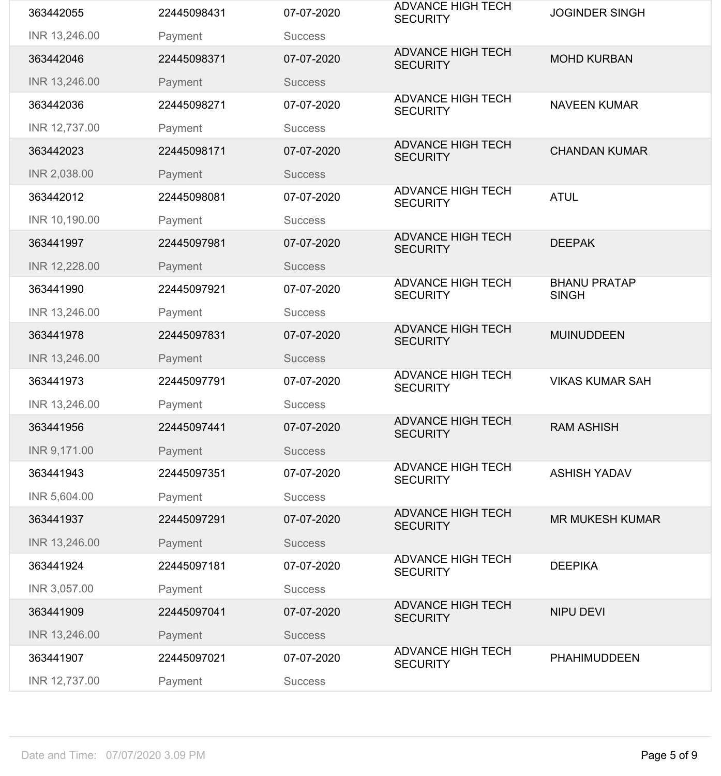| 363442055     | 22445098431 | 07-07-2020     | <b>ADVANCE HIGH TECH</b><br><b>SECURITY</b> | <b>JOGINDER SINGH</b>               |
|---------------|-------------|----------------|---------------------------------------------|-------------------------------------|
| INR 13,246.00 | Payment     | <b>Success</b> |                                             |                                     |
| 363442046     | 22445098371 | 07-07-2020     | <b>ADVANCE HIGH TECH</b><br><b>SECURITY</b> | <b>MOHD KURBAN</b>                  |
| INR 13,246.00 | Payment     | <b>Success</b> |                                             |                                     |
| 363442036     | 22445098271 | 07-07-2020     | <b>ADVANCE HIGH TECH</b><br><b>SECURITY</b> | <b>NAVEEN KUMAR</b>                 |
| INR 12,737.00 | Payment     | <b>Success</b> |                                             |                                     |
| 363442023     | 22445098171 | 07-07-2020     | <b>ADVANCE HIGH TECH</b><br><b>SECURITY</b> | <b>CHANDAN KUMAR</b>                |
| INR 2,038.00  | Payment     | <b>Success</b> |                                             |                                     |
| 363442012     | 22445098081 | 07-07-2020     | <b>ADVANCE HIGH TECH</b><br><b>SECURITY</b> | <b>ATUL</b>                         |
| INR 10,190.00 | Payment     | <b>Success</b> |                                             |                                     |
| 363441997     | 22445097981 | 07-07-2020     | <b>ADVANCE HIGH TECH</b><br><b>SECURITY</b> | <b>DEEPAK</b>                       |
| INR 12,228.00 | Payment     | <b>Success</b> |                                             |                                     |
| 363441990     | 22445097921 | 07-07-2020     | <b>ADVANCE HIGH TECH</b><br><b>SECURITY</b> | <b>BHANU PRATAP</b><br><b>SINGH</b> |
| INR 13,246.00 | Payment     | <b>Success</b> |                                             |                                     |
| 363441978     | 22445097831 | 07-07-2020     | <b>ADVANCE HIGH TECH</b><br><b>SECURITY</b> | <b>MUINUDDEEN</b>                   |
| INR 13,246.00 | Payment     | <b>Success</b> |                                             |                                     |
| 363441973     | 22445097791 | 07-07-2020     | <b>ADVANCE HIGH TECH</b><br><b>SECURITY</b> | <b>VIKAS KUMAR SAH</b>              |
| INR 13,246.00 | Payment     | <b>Success</b> |                                             |                                     |
| 363441956     | 22445097441 | 07-07-2020     | <b>ADVANCE HIGH TECH</b><br><b>SECURITY</b> | <b>RAM ASHISH</b>                   |
| INR 9,171.00  | Payment     | <b>Success</b> |                                             |                                     |
| 363441943     | 22445097351 | 07-07-2020     | <b>ADVANCE HIGH TECH</b><br><b>SECURITY</b> | <b>ASHISH YADAV</b>                 |
| INR 5,604.00  | Payment     | <b>Success</b> |                                             |                                     |
| 363441937     | 22445097291 | 07-07-2020     | <b>ADVANCE HIGH TECH</b><br><b>SECURITY</b> | <b>MR MUKESH KUMAR</b>              |
| INR 13,246.00 | Payment     | <b>Success</b> |                                             |                                     |
| 363441924     | 22445097181 | 07-07-2020     | <b>ADVANCE HIGH TECH</b><br><b>SECURITY</b> | <b>DEEPIKA</b>                      |
| INR 3,057.00  | Payment     | <b>Success</b> |                                             |                                     |
| 363441909     | 22445097041 | 07-07-2020     | <b>ADVANCE HIGH TECH</b><br><b>SECURITY</b> | <b>NIPU DEVI</b>                    |
| INR 13,246.00 | Payment     | <b>Success</b> |                                             |                                     |
| 363441907     | 22445097021 | 07-07-2020     | <b>ADVANCE HIGH TECH</b><br><b>SECURITY</b> | <b>PHAHIMUDDEEN</b>                 |
| INR 12,737.00 | Payment     | <b>Success</b> |                                             |                                     |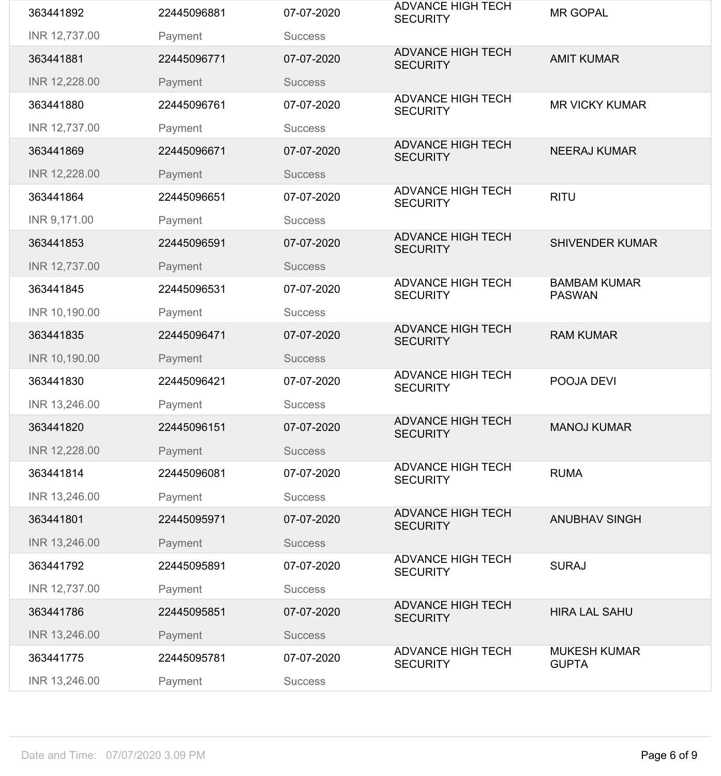| 363441892     | 22445096881 | 07-07-2020     | <b>ADVANCE HIGH TECH</b><br><b>SECURITY</b> | <b>MR GOPAL</b>                      |
|---------------|-------------|----------------|---------------------------------------------|--------------------------------------|
| INR 12,737.00 | Payment     | <b>Success</b> |                                             |                                      |
| 363441881     | 22445096771 | 07-07-2020     | <b>ADVANCE HIGH TECH</b><br><b>SECURITY</b> | <b>AMIT KUMAR</b>                    |
| INR 12,228.00 | Payment     | <b>Success</b> |                                             |                                      |
| 363441880     | 22445096761 | 07-07-2020     | <b>ADVANCE HIGH TECH</b><br><b>SECURITY</b> | <b>MR VICKY KUMAR</b>                |
| INR 12,737.00 | Payment     | <b>Success</b> |                                             |                                      |
| 363441869     | 22445096671 | 07-07-2020     | <b>ADVANCE HIGH TECH</b><br><b>SECURITY</b> | <b>NEERAJ KUMAR</b>                  |
| INR 12,228.00 | Payment     | <b>Success</b> |                                             |                                      |
| 363441864     | 22445096651 | 07-07-2020     | <b>ADVANCE HIGH TECH</b><br><b>SECURITY</b> | <b>RITU</b>                          |
| INR 9,171.00  | Payment     | <b>Success</b> |                                             |                                      |
| 363441853     | 22445096591 | 07-07-2020     | <b>ADVANCE HIGH TECH</b><br><b>SECURITY</b> | <b>SHIVENDER KUMAR</b>               |
| INR 12,737.00 | Payment     | <b>Success</b> |                                             |                                      |
| 363441845     | 22445096531 | 07-07-2020     | <b>ADVANCE HIGH TECH</b><br><b>SECURITY</b> | <b>BAMBAM KUMAR</b><br><b>PASWAN</b> |
| INR 10,190.00 | Payment     | <b>Success</b> |                                             |                                      |
| 363441835     | 22445096471 | 07-07-2020     | <b>ADVANCE HIGH TECH</b><br><b>SECURITY</b> | <b>RAM KUMAR</b>                     |
| INR 10,190.00 | Payment     | <b>Success</b> |                                             |                                      |
| 363441830     | 22445096421 | 07-07-2020     | <b>ADVANCE HIGH TECH</b><br><b>SECURITY</b> | POOJA DEVI                           |
| INR 13,246.00 | Payment     | <b>Success</b> |                                             |                                      |
| 363441820     | 22445096151 | 07-07-2020     | <b>ADVANCE HIGH TECH</b><br><b>SECURITY</b> | <b>MANOJ KUMAR</b>                   |
| INR 12,228.00 | Payment     | <b>Success</b> |                                             |                                      |
| 363441814     | 22445096081 | 07-07-2020     | <b>ADVANCE HIGH TECH</b><br><b>SECURITY</b> | <b>RUMA</b>                          |
| INR 13,246.00 | Payment     | <b>Success</b> |                                             |                                      |
| 363441801     | 22445095971 | 07-07-2020     | <b>ADVANCE HIGH TECH</b><br><b>SECURITY</b> | <b>ANUBHAV SINGH</b>                 |
| INR 13,246.00 | Payment     | <b>Success</b> |                                             |                                      |
| 363441792     | 22445095891 | 07-07-2020     | <b>ADVANCE HIGH TECH</b><br><b>SECURITY</b> | <b>SURAJ</b>                         |
| INR 12,737.00 | Payment     | <b>Success</b> |                                             |                                      |
| 363441786     | 22445095851 | 07-07-2020     | <b>ADVANCE HIGH TECH</b><br><b>SECURITY</b> | <b>HIRA LAL SAHU</b>                 |
| INR 13,246.00 | Payment     | <b>Success</b> |                                             |                                      |
| 363441775     | 22445095781 | 07-07-2020     | <b>ADVANCE HIGH TECH</b><br><b>SECURITY</b> | <b>MUKESH KUMAR</b><br><b>GUPTA</b>  |
|               |             |                |                                             |                                      |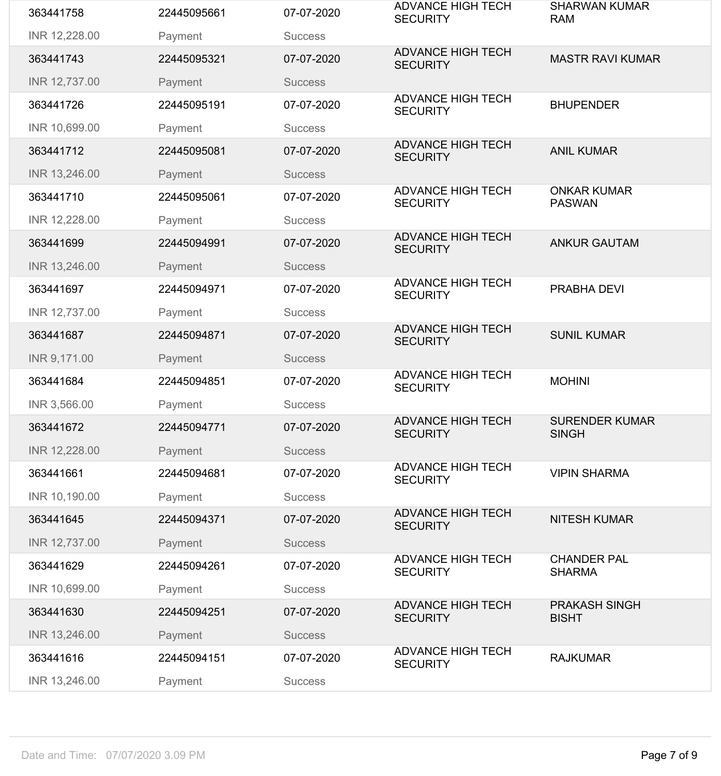| 363441758     | 22445095661 | 07-07-2020     | <b>ADVANCE HIGH TECH</b><br><b>SECURITY</b> | <b>SHARWAN KUMAR</b><br><b>RAM</b>    |
|---------------|-------------|----------------|---------------------------------------------|---------------------------------------|
| INR 12,228.00 | Payment     | <b>Success</b> |                                             |                                       |
| 363441743     | 22445095321 | 07-07-2020     | <b>ADVANCE HIGH TECH</b><br><b>SECURITY</b> | <b>MASTR RAVI KUMAR</b>               |
| INR 12,737.00 | Payment     | <b>Success</b> |                                             |                                       |
| 363441726     | 22445095191 | 07-07-2020     | <b>ADVANCE HIGH TECH</b><br><b>SECURITY</b> | <b>BHUPENDER</b>                      |
| INR 10,699.00 | Payment     | <b>Success</b> |                                             |                                       |
| 363441712     | 22445095081 | 07-07-2020     | <b>ADVANCE HIGH TECH</b><br><b>SECURITY</b> | <b>ANIL KUMAR</b>                     |
| INR 13,246.00 | Payment     | <b>Success</b> |                                             |                                       |
| 363441710     | 22445095061 | 07-07-2020     | <b>ADVANCE HIGH TECH</b><br><b>SECURITY</b> | <b>ONKAR KUMAR</b><br><b>PASWAN</b>   |
| INR 12,228.00 | Payment     | <b>Success</b> |                                             |                                       |
| 363441699     | 22445094991 | 07-07-2020     | <b>ADVANCE HIGH TECH</b><br><b>SECURITY</b> | <b>ANKUR GAUTAM</b>                   |
| INR 13,246.00 | Payment     | <b>Success</b> |                                             |                                       |
| 363441697     | 22445094971 | 07-07-2020     | <b>ADVANCE HIGH TECH</b><br><b>SECURITY</b> | PRABHA DEVI                           |
| INR 12,737.00 | Payment     | <b>Success</b> |                                             |                                       |
| 363441687     | 22445094871 | 07-07-2020     | <b>ADVANCE HIGH TECH</b><br><b>SECURITY</b> | <b>SUNIL KUMAR</b>                    |
| INR 9,171.00  | Payment     | <b>Success</b> |                                             |                                       |
| 363441684     | 22445094851 | 07-07-2020     | <b>ADVANCE HIGH TECH</b><br><b>SECURITY</b> | <b>MOHINI</b>                         |
|               |             |                |                                             |                                       |
| INR 3,566.00  | Payment     | <b>Success</b> |                                             |                                       |
| 363441672     | 22445094771 | 07-07-2020     | <b>ADVANCE HIGH TECH</b><br><b>SECURITY</b> | <b>SURENDER KUMAR</b><br><b>SINGH</b> |
| INR 12,228.00 | Payment     | <b>Success</b> |                                             |                                       |
| 363441661     | 22445094681 | 07-07-2020     | <b>ADVANCE HIGH TECH</b><br><b>SECURITY</b> | <b>VIPIN SHARMA</b>                   |
| INR 10,190.00 | Payment     | <b>Success</b> |                                             |                                       |
| 363441645     | 22445094371 | 07-07-2020     | <b>ADVANCE HIGH TECH</b><br><b>SECURITY</b> | <b>NITESH KUMAR</b>                   |
| INR 12,737.00 | Payment     | <b>Success</b> |                                             |                                       |
| 363441629     | 22445094261 | 07-07-2020     | <b>ADVANCE HIGH TECH</b><br><b>SECURITY</b> | <b>CHANDER PAL</b><br><b>SHARMA</b>   |
| INR 10,699.00 | Payment     | <b>Success</b> |                                             |                                       |
| 363441630     | 22445094251 | 07-07-2020     | <b>ADVANCE HIGH TECH</b><br><b>SECURITY</b> | <b>PRAKASH SINGH</b><br><b>BISHT</b>  |
| INR 13,246.00 | Payment     | <b>Success</b> |                                             |                                       |
| 363441616     | 22445094151 | 07-07-2020     | <b>ADVANCE HIGH TECH</b><br><b>SECURITY</b> | <b>RAJKUMAR</b>                       |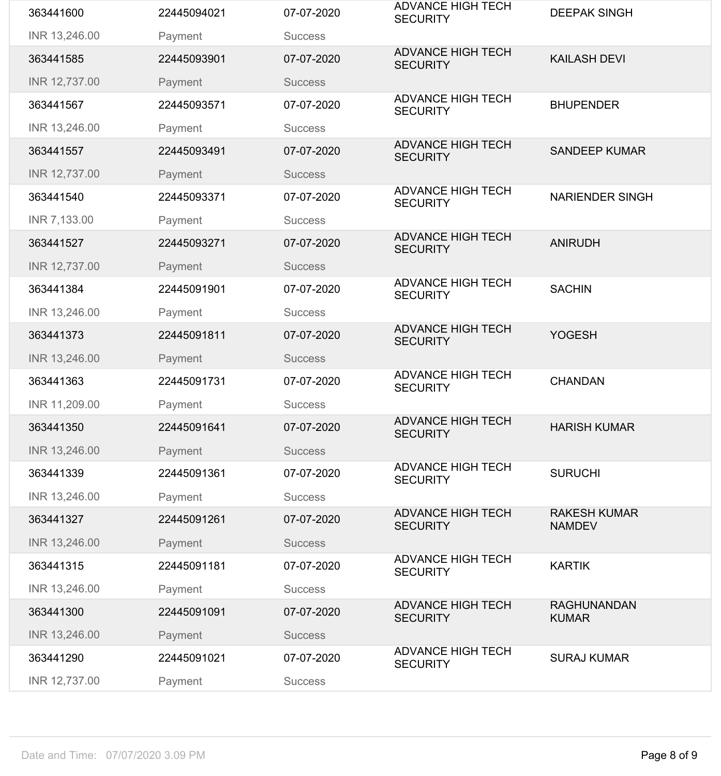| 363441600     | 22445094021 | 07-07-2020     | <b>ADVANCE HIGH TECH</b><br><b>SECURITY</b> | <b>DEEPAK SINGH</b>                  |
|---------------|-------------|----------------|---------------------------------------------|--------------------------------------|
| INR 13,246.00 | Payment     | <b>Success</b> |                                             |                                      |
| 363441585     | 22445093901 | 07-07-2020     | <b>ADVANCE HIGH TECH</b><br><b>SECURITY</b> | <b>KAILASH DEVI</b>                  |
| INR 12,737.00 | Payment     | <b>Success</b> |                                             |                                      |
| 363441567     | 22445093571 | 07-07-2020     | <b>ADVANCE HIGH TECH</b><br><b>SECURITY</b> | <b>BHUPENDER</b>                     |
| INR 13,246.00 | Payment     | <b>Success</b> |                                             |                                      |
| 363441557     | 22445093491 | 07-07-2020     | <b>ADVANCE HIGH TECH</b><br><b>SECURITY</b> | <b>SANDEEP KUMAR</b>                 |
| INR 12,737.00 | Payment     | <b>Success</b> |                                             |                                      |
| 363441540     | 22445093371 | 07-07-2020     | <b>ADVANCE HIGH TECH</b><br><b>SECURITY</b> | <b>NARIENDER SINGH</b>               |
| INR 7,133.00  | Payment     | <b>Success</b> |                                             |                                      |
| 363441527     | 22445093271 | 07-07-2020     | <b>ADVANCE HIGH TECH</b><br><b>SECURITY</b> | <b>ANIRUDH</b>                       |
| INR 12,737.00 | Payment     | <b>Success</b> |                                             |                                      |
| 363441384     | 22445091901 | 07-07-2020     | <b>ADVANCE HIGH TECH</b><br><b>SECURITY</b> | <b>SACHIN</b>                        |
| INR 13,246.00 | Payment     | <b>Success</b> |                                             |                                      |
| 363441373     | 22445091811 | 07-07-2020     | <b>ADVANCE HIGH TECH</b><br><b>SECURITY</b> | <b>YOGESH</b>                        |
| INR 13,246.00 | Payment     | <b>Success</b> |                                             |                                      |
| 363441363     | 22445091731 | 07-07-2020     | <b>ADVANCE HIGH TECH</b><br><b>SECURITY</b> | <b>CHANDAN</b>                       |
| INR 11,209.00 | Payment     | <b>Success</b> |                                             |                                      |
| 363441350     | 22445091641 | 07-07-2020     | <b>ADVANCE HIGH TECH</b><br><b>SECURITY</b> | <b>HARISH KUMAR</b>                  |
| INR 13,246.00 | Payment     | <b>Success</b> |                                             |                                      |
| 363441339     | 22445091361 | 07-07-2020     | <b>ADVANCE HIGH TECH</b><br><b>SECURITY</b> | <b>SURUCHI</b>                       |
| INR 13,246.00 |             |                |                                             |                                      |
|               | Payment     | <b>Success</b> |                                             |                                      |
| 363441327     | 22445091261 | 07-07-2020     | <b>ADVANCE HIGH TECH</b><br><b>SECURITY</b> | <b>RAKESH KUMAR</b><br><b>NAMDEV</b> |
| INR 13,246.00 | Payment     | <b>Success</b> |                                             |                                      |
| 363441315     | 22445091181 | 07-07-2020     | <b>ADVANCE HIGH TECH</b><br><b>SECURITY</b> | <b>KARTIK</b>                        |
| INR 13,246.00 | Payment     | <b>Success</b> |                                             |                                      |
| 363441300     | 22445091091 | 07-07-2020     | <b>ADVANCE HIGH TECH</b><br><b>SECURITY</b> | <b>RAGHUNANDAN</b><br><b>KUMAR</b>   |
| INR 13,246.00 | Payment     | <b>Success</b> |                                             |                                      |
| 363441290     | 22445091021 | 07-07-2020     | <b>ADVANCE HIGH TECH</b><br><b>SECURITY</b> | <b>SURAJ KUMAR</b>                   |